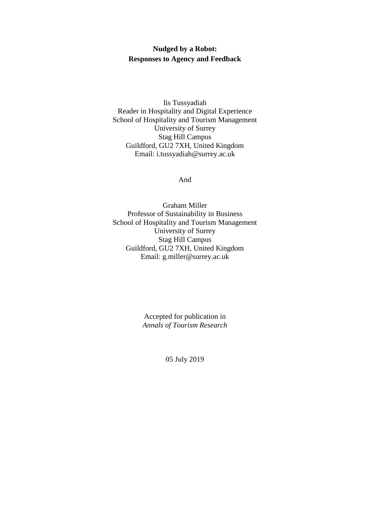Iis Tussyadiah Reader in Hospitality and Digital Experience School of Hospitality and Tourism Management University of Surrey Stag Hill Campus Guildford, GU2 7XH, United Kingdom Email: i.tussyadiah@surrey.ac.uk

And

Graham Miller Professor of Sustainability in Business School of Hospitality and Tourism Management University of Surrey Stag Hill Campus Guildford, GU2 7XH, United Kingdom Email: g.miller@surrey.ac.uk

> Accepted for publication in *Annals of Tourism Research*

> > 05 July 2019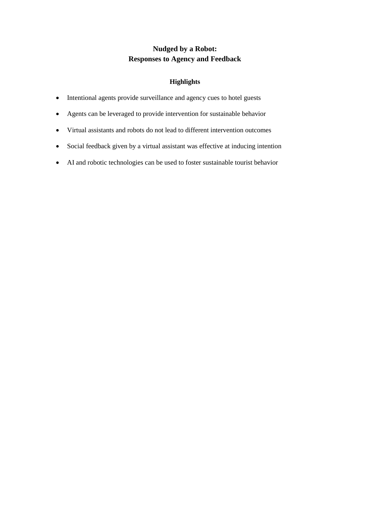# **Highlights**

- Intentional agents provide surveillance and agency cues to hotel guests
- Agents can be leveraged to provide intervention for sustainable behavior
- Virtual assistants and robots do not lead to different intervention outcomes
- Social feedback given by a virtual assistant was effective at inducing intention
- AI and robotic technologies can be used to foster sustainable tourist behavior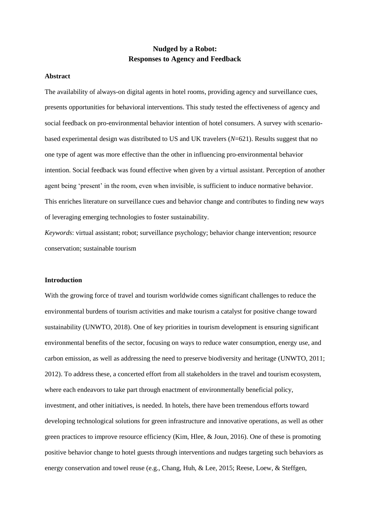#### **Abstract**

The availability of always-on digital agents in hotel rooms, providing agency and surveillance cues, presents opportunities for behavioral interventions. This study tested the effectiveness of agency and social feedback on pro-environmental behavior intention of hotel consumers. A survey with scenariobased experimental design was distributed to US and UK travelers (*N*=621). Results suggest that no one type of agent was more effective than the other in influencing pro-environmental behavior intention. Social feedback was found effective when given by a virtual assistant. Perception of another agent being 'present' in the room, even when invisible, is sufficient to induce normative behavior. This enriches literature on surveillance cues and behavior change and contributes to finding new ways of leveraging emerging technologies to foster sustainability.

*Keywords*: virtual assistant; robot; surveillance psychology; behavior change intervention; resource conservation; sustainable tourism

#### **Introduction**

With the growing force of travel and tourism worldwide comes significant challenges to reduce the environmental burdens of tourism activities and make tourism a catalyst for positive change toward sustainability (UNWTO, 2018). One of key priorities in tourism development is ensuring significant environmental benefits of the sector, focusing on ways to reduce water consumption, energy use, and carbon emission, as well as addressing the need to preserve biodiversity and heritage (UNWTO, 2011; 2012). To address these, a concerted effort from all stakeholders in the travel and tourism ecosystem, where each endeavors to take part through enactment of environmentally beneficial policy, investment, and other initiatives, is needed. In hotels, there have been tremendous efforts toward developing technological solutions for green infrastructure and innovative operations, as well as other green practices to improve resource efficiency (Kim, Hlee, & Joun, 2016). One of these is promoting positive behavior change to hotel guests through interventions and nudges targeting such behaviors as energy conservation and towel reuse (e.g., Chang, Huh, & Lee, 2015; Reese, Loew, & Steffgen,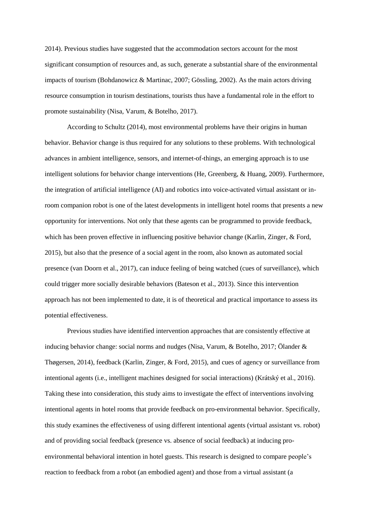2014). Previous studies have suggested that the accommodation sectors account for the most significant consumption of resources and, as such, generate a substantial share of the environmental impacts of tourism (Bohdanowicz & Martinac, 2007; Gössling, 2002). As the main actors driving resource consumption in tourism destinations, tourists thus have a fundamental role in the effort to promote sustainability (Nisa, Varum, & Botelho, 2017).

According to Schultz (2014), most environmental problems have their origins in human behavior. Behavior change is thus required for any solutions to these problems. With technological advances in ambient intelligence, sensors, and internet-of-things, an emerging approach is to use intelligent solutions for behavior change interventions (He, Greenberg, & Huang, 2009). Furthermore, the integration of artificial intelligence (AI) and robotics into voice-activated virtual assistant or inroom companion robot is one of the latest developments in intelligent hotel rooms that presents a new opportunity for interventions. Not only that these agents can be programmed to provide feedback, which has been proven effective in influencing positive behavior change (Karlin, Zinger, & Ford, 2015), but also that the presence of a social agent in the room, also known as automated social presence (van Doorn et al., 2017), can induce feeling of being watched (cues of surveillance), which could trigger more socially desirable behaviors (Bateson et al., 2013). Since this intervention approach has not been implemented to date, it is of theoretical and practical importance to assess its potential effectiveness.

Previous studies have identified intervention approaches that are consistently effective at inducing behavior change: social norms and nudges (Nisa, Varum, & Botelho, 2017; Ölander & Thøgersen, 2014), feedback (Karlin, Zinger, & Ford, 2015), and cues of agency or surveillance from intentional agents (i.e., intelligent machines designed for social interactions) (Krátský et al., 2016). Taking these into consideration, this study aims to investigate the effect of interventions involving intentional agents in hotel rooms that provide feedback on pro-environmental behavior. Specifically, this study examines the effectiveness of using different intentional agents (virtual assistant vs. robot) and of providing social feedback (presence vs. absence of social feedback) at inducing proenvironmental behavioral intention in hotel guests. This research is designed to compare people's reaction to feedback from a robot (an embodied agent) and those from a virtual assistant (a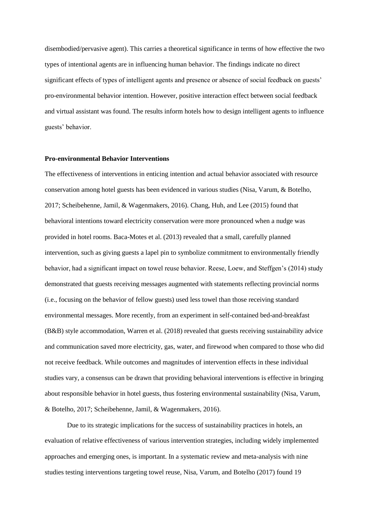disembodied/pervasive agent). This carries a theoretical significance in terms of how effective the two types of intentional agents are in influencing human behavior. The findings indicate no direct significant effects of types of intelligent agents and presence or absence of social feedback on guests' pro-environmental behavior intention. However, positive interaction effect between social feedback and virtual assistant was found. The results inform hotels how to design intelligent agents to influence guests' behavior.

#### **Pro-environmental Behavior Interventions**

The effectiveness of interventions in enticing intention and actual behavior associated with resource conservation among hotel guests has been evidenced in various studies (Nisa, Varum, & Botelho, 2017; Scheibehenne, Jamil, & Wagenmakers, 2016). Chang, Huh, and Lee (2015) found that behavioral intentions toward electricity conservation were more pronounced when a nudge was provided in hotel rooms. Baca-Motes et al. (2013) revealed that a small, carefully planned intervention, such as giving guests a lapel pin to symbolize commitment to environmentally friendly behavior, had a significant impact on towel reuse behavior. Reese, Loew, and Steffgen's (2014) study demonstrated that guests receiving messages augmented with statements reflecting provincial norms (i.e., focusing on the behavior of fellow guests) used less towel than those receiving standard environmental messages. More recently, from an experiment in self-contained bed-and-breakfast (B&B) style accommodation, Warren et al. (2018) revealed that guests receiving sustainability advice and communication saved more electricity, gas, water, and firewood when compared to those who did not receive feedback. While outcomes and magnitudes of intervention effects in these individual studies vary, a consensus can be drawn that providing behavioral interventions is effective in bringing about responsible behavior in hotel guests, thus fostering environmental sustainability (Nisa, Varum, & Botelho, 2017; Scheibehenne, Jamil, & Wagenmakers, 2016).

Due to its strategic implications for the success of sustainability practices in hotels, an evaluation of relative effectiveness of various intervention strategies, including widely implemented approaches and emerging ones, is important. In a systematic review and meta-analysis with nine studies testing interventions targeting towel reuse, Nisa, Varum, and Botelho (2017) found 19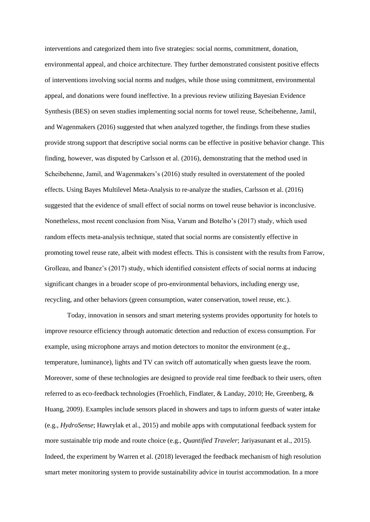interventions and categorized them into five strategies: social norms, commitment, donation, environmental appeal, and choice architecture. They further demonstrated consistent positive effects of interventions involving social norms and nudges, while those using commitment, environmental appeal, and donations were found ineffective. In a previous review utilizing Bayesian Evidence Synthesis (BES) on seven studies implementing social norms for towel reuse, Scheibehenne, Jamil, and Wagenmakers (2016) suggested that when analyzed together, the findings from these studies provide strong support that descriptive social norms can be effective in positive behavior change. This finding, however, was disputed by Carlsson et al. (2016), demonstrating that the method used in Scheibehenne, Jamil, and Wagenmakers's (2016) study resulted in overstatement of the pooled effects. Using Bayes Multilevel Meta-Analysis to re-analyze the studies, Carlsson et al. (2016) suggested that the evidence of small effect of social norms on towel reuse behavior is inconclusive. Nonetheless, most recent conclusion from Nisa, Varum and Botelho's (2017) study, which used random effects meta-analysis technique, stated that social norms are consistently effective in promoting towel reuse rate, albeit with modest effects. This is consistent with the results from Farrow, Grolleau, and Ibanez's (2017) study, which identified consistent effects of social norms at inducing significant changes in a broader scope of pro-environmental behaviors, including energy use, recycling, and other behaviors (green consumption, water conservation, towel reuse, etc.).

Today, innovation in sensors and smart metering systems provides opportunity for hotels to improve resource efficiency through automatic detection and reduction of excess consumption. For example, using microphone arrays and motion detectors to monitor the environment (e.g., temperature, luminance), lights and TV can switch off automatically when guests leave the room. Moreover, some of these technologies are designed to provide real time feedback to their users, often referred to as eco-feedback technologies (Froehlich, Findlater, & Landay, 2010; He, Greenberg, & Huang, 2009). Examples include sensors placed in showers and taps to inform guests of water intake (e.g., *HydroSense*; Hawrylak et al., 2015) and mobile apps with computational feedback system for more sustainable trip mode and route choice (e.g., *Quantified Traveler*; Jariyasunant et al., 2015). Indeed, the experiment by Warren et al. (2018) leveraged the feedback mechanism of high resolution smart meter monitoring system to provide sustainability advice in tourist accommodation. In a more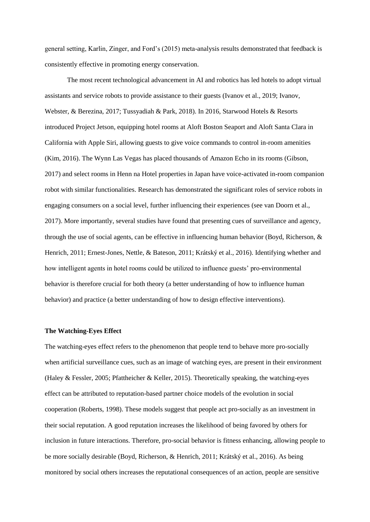general setting, Karlin, Zinger, and Ford's (2015) meta-analysis results demonstrated that feedback is consistently effective in promoting energy conservation.

The most recent technological advancement in AI and robotics has led hotels to adopt virtual assistants and service robots to provide assistance to their guests (Ivanov et al., 2019; Ivanov, Webster, & Berezina, 2017; Tussyadiah & Park, 2018). In 2016, Starwood Hotels & Resorts introduced Project Jetson, equipping hotel rooms at Aloft Boston Seaport and Aloft Santa Clara in California with Apple Siri, allowing guests to give voice commands to control in-room amenities (Kim, 2016). The Wynn Las Vegas has placed thousands of Amazon Echo in its rooms (Gibson, 2017) and select rooms in Henn na Hotel properties in Japan have voice-activated in-room companion robot with similar functionalities. Research has demonstrated the significant roles of service robots in engaging consumers on a social level, further influencing their experiences (see van Doorn et al., 2017). More importantly, several studies have found that presenting cues of surveillance and agency, through the use of social agents, can be effective in influencing human behavior (Boyd, Richerson, & Henrich, 2011; Ernest-Jones, Nettle, & Bateson, 2011; Krátský et al., 2016). Identifying whether and how intelligent agents in hotel rooms could be utilized to influence guests' pro-environmental behavior is therefore crucial for both theory (a better understanding of how to influence human behavior) and practice (a better understanding of how to design effective interventions).

### **The Watching-Eyes Effect**

The watching-eyes effect refers to the phenomenon that people tend to behave more pro-socially when artificial surveillance cues, such as an image of watching eyes, are present in their environment (Haley & Fessler, 2005; Pfattheicher & Keller, 2015). Theoretically speaking, the watching-eyes effect can be attributed to reputation-based partner choice models of the evolution in social cooperation (Roberts, 1998). These models suggest that people act pro-socially as an investment in their social reputation. A good reputation increases the likelihood of being favored by others for inclusion in future interactions. Therefore, pro-social behavior is fitness enhancing, allowing people to be more socially desirable (Boyd, Richerson, & Henrich, 2011; Krátský et al., 2016). As being monitored by social others increases the reputational consequences of an action, people are sensitive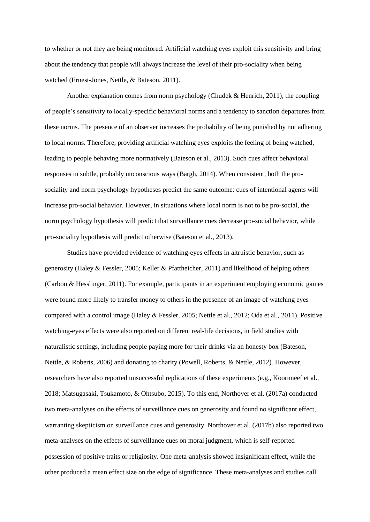to whether or not they are being monitored. Artificial watching eyes exploit this sensitivity and bring about the tendency that people will always increase the level of their pro-sociality when being watched (Ernest-Jones, Nettle, & Bateson, 2011).

Another explanation comes from norm psychology (Chudek & Henrich, 2011), the coupling of people's sensitivity to locally-specific behavioral norms and a tendency to sanction departures from these norms. The presence of an observer increases the probability of being punished by not adhering to local norms. Therefore, providing artificial watching eyes exploits the feeling of being watched, leading to people behaving more normatively (Bateson et al., 2013). Such cues affect behavioral responses in subtle, probably unconscious ways (Bargh, 2014). When consistent, both the prosociality and norm psychology hypotheses predict the same outcome: cues of intentional agents will increase pro-social behavior. However, in situations where local norm is not to be pro-social, the norm psychology hypothesis will predict that surveillance cues decrease pro-social behavior, while pro-sociality hypothesis will predict otherwise (Bateson et al., 2013).

Studies have provided evidence of watching-eyes effects in altruistic behavior, such as generosity (Haley & Fessler, 2005; Keller & Pfattheicher, 2011) and likelihood of helping others (Carbon & Hesslinger, 2011). For example, participants in an experiment employing economic games were found more likely to transfer money to others in the presence of an image of watching eyes compared with a control image (Haley & Fessler, 2005; Nettle et al., 2012; Oda et al., 2011). Positive watching-eyes effects were also reported on different real-life decisions, in field studies with naturalistic settings, including people paying more for their drinks via an honesty box (Bateson, Nettle, & Roberts, 2006) and donating to charity (Powell, Roberts, & Nettle, 2012). However, researchers have also reported unsuccessful replications of these experiments (e.g., Koornneef et al., 2018; Matsugasaki, Tsukamoto, & Ohtsubo, 2015). To this end, Northover et al. (2017a) conducted two meta-analyses on the effects of surveillance cues on generosity and found no significant effect, warranting skepticism on surveillance cues and generosity. Northover et al. (2017b) also reported two meta-analyses on the effects of surveillance cues on moral judgment, which is self-reported possession of positive traits or religiosity. One meta-analysis showed insignificant effect, while the other produced a mean effect size on the edge of significance. These meta-analyses and studies call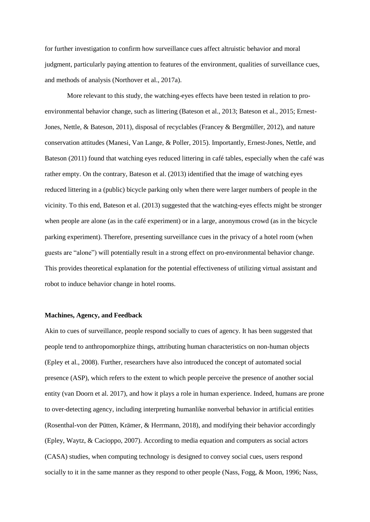for further investigation to confirm how surveillance cues affect altruistic behavior and moral judgment, particularly paying attention to features of the environment, qualities of surveillance cues, and methods of analysis (Northover et al., 2017a).

More relevant to this study, the watching-eyes effects have been tested in relation to proenvironmental behavior change, such as littering (Bateson et al., 2013; Bateson et al., 2015; Ernest-Jones, Nettle, & Bateson, 2011), disposal of recyclables (Francey & Bergmüller, 2012), and nature conservation attitudes (Manesi, Van Lange, & Poller, 2015). Importantly, Ernest-Jones, Nettle, and Bateson (2011) found that watching eyes reduced littering in café tables, especially when the café was rather empty. On the contrary, Bateson et al. (2013) identified that the image of watching eyes reduced littering in a (public) bicycle parking only when there were larger numbers of people in the vicinity. To this end, Bateson et al. (2013) suggested that the watching-eyes effects might be stronger when people are alone (as in the café experiment) or in a large, anonymous crowd (as in the bicycle parking experiment). Therefore, presenting surveillance cues in the privacy of a hotel room (when guests are "alone") will potentially result in a strong effect on pro-environmental behavior change. This provides theoretical explanation for the potential effectiveness of utilizing virtual assistant and robot to induce behavior change in hotel rooms.

### **Machines, Agency, and Feedback**

Akin to cues of surveillance, people respond socially to cues of agency. It has been suggested that people tend to anthropomorphize things, attributing human characteristics on non-human objects (Epley et al., 2008). Further, researchers have also introduced the concept of automated social presence (ASP), which refers to the extent to which people perceive the presence of another social entity (van Doorn et al. 2017), and how it plays a role in human experience. Indeed, humans are prone to over-detecting agency, including interpreting humanlike nonverbal behavior in artificial entities (Rosenthal-von der Pütten, Krämer, & Herrmann, 2018), and modifying their behavior accordingly (Epley, Waytz, & Cacioppo, 2007). According to media equation and computers as social actors (CASA) studies, when computing technology is designed to convey social cues, users respond socially to it in the same manner as they respond to other people (Nass, Fogg, & Moon, 1996; Nass,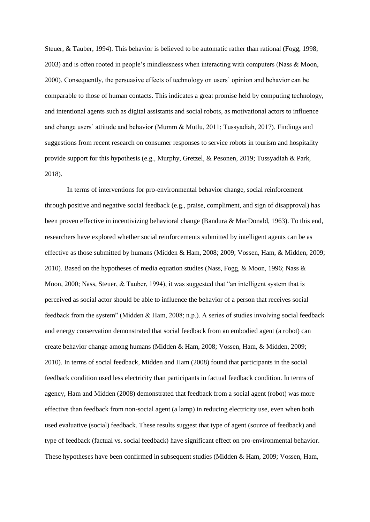Steuer, & Tauber, 1994). This behavior is believed to be automatic rather than rational (Fogg, 1998; 2003) and is often rooted in people's mindlessness when interacting with computers (Nass & Moon, 2000). Consequently, the persuasive effects of technology on users' opinion and behavior can be comparable to those of human contacts. This indicates a great promise held by computing technology, and intentional agents such as digital assistants and social robots, as motivational actors to influence and change users' attitude and behavior (Mumm & Mutlu, 2011; Tussyadiah, 2017). Findings and suggestions from recent research on consumer responses to service robots in tourism and hospitality provide support for this hypothesis (e.g., Murphy, Gretzel, & Pesonen, 2019; Tussyadiah & Park, 2018).

In terms of interventions for pro-environmental behavior change, social reinforcement through positive and negative social feedback (e.g., praise, compliment, and sign of disapproval) has been proven effective in incentivizing behavioral change (Bandura & MacDonald, 1963). To this end, researchers have explored whether social reinforcements submitted by intelligent agents can be as effective as those submitted by humans (Midden & Ham, 2008; 2009; Vossen, Ham, & Midden, 2009; 2010). Based on the hypotheses of media equation studies (Nass, Fogg, & Moon, 1996; Nass & Moon, 2000; Nass, Steuer, & Tauber, 1994), it was suggested that "an intelligent system that is perceived as social actor should be able to influence the behavior of a person that receives social feedback from the system" (Midden & Ham, 2008; n.p.). A series of studies involving social feedback and energy conservation demonstrated that social feedback from an embodied agent (a robot) can create behavior change among humans (Midden & Ham, 2008; Vossen, Ham, & Midden, 2009; 2010). In terms of social feedback, Midden and Ham (2008) found that participants in the social feedback condition used less electricity than participants in factual feedback condition. In terms of agency, Ham and Midden (2008) demonstrated that feedback from a social agent (robot) was more effective than feedback from non-social agent (a lamp) in reducing electricity use, even when both used evaluative (social) feedback. These results suggest that type of agent (source of feedback) and type of feedback (factual vs. social feedback) have significant effect on pro-environmental behavior. These hypotheses have been confirmed in subsequent studies (Midden & Ham, 2009; Vossen, Ham,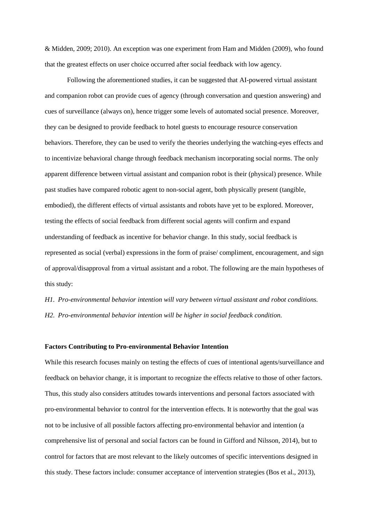& Midden, 2009; 2010). An exception was one experiment from Ham and Midden (2009), who found that the greatest effects on user choice occurred after social feedback with low agency.

Following the aforementioned studies, it can be suggested that AI-powered virtual assistant and companion robot can provide cues of agency (through conversation and question answering) and cues of surveillance (always on), hence trigger some levels of automated social presence. Moreover, they can be designed to provide feedback to hotel guests to encourage resource conservation behaviors. Therefore, they can be used to verify the theories underlying the watching-eyes effects and to incentivize behavioral change through feedback mechanism incorporating social norms. The only apparent difference between virtual assistant and companion robot is their (physical) presence. While past studies have compared robotic agent to non-social agent, both physically present (tangible, embodied), the different effects of virtual assistants and robots have yet to be explored. Moreover, testing the effects of social feedback from different social agents will confirm and expand understanding of feedback as incentive for behavior change. In this study, social feedback is represented as social (verbal) expressions in the form of praise/ compliment, encouragement, and sign of approval/disapproval from a virtual assistant and a robot. The following are the main hypotheses of this study:

*H1. Pro-environmental behavior intention will vary between virtual assistant and robot conditions. H2. Pro-environmental behavior intention will be higher in social feedback condition.* 

#### **Factors Contributing to Pro-environmental Behavior Intention**

While this research focuses mainly on testing the effects of cues of intentional agents/surveillance and feedback on behavior change, it is important to recognize the effects relative to those of other factors. Thus, this study also considers attitudes towards interventions and personal factors associated with pro-environmental behavior to control for the intervention effects. It is noteworthy that the goal was not to be inclusive of all possible factors affecting pro-environmental behavior and intention (a comprehensive list of personal and social factors can be found in Gifford and Nilsson, 2014), but to control for factors that are most relevant to the likely outcomes of specific interventions designed in this study. These factors include: consumer acceptance of intervention strategies (Bos et al., 2013),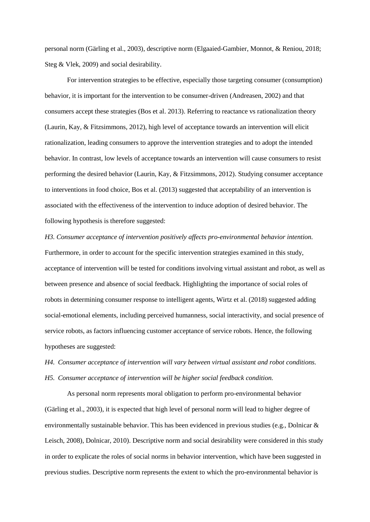personal norm (Gärling et al., 2003), descriptive norm (Elgaaied-Gambier, Monnot, & Reniou, 2018; Steg & Vlek, 2009) and social desirability.

For intervention strategies to be effective, especially those targeting consumer (consumption) behavior, it is important for the intervention to be consumer-driven (Andreasen, 2002) and that consumers accept these strategies (Bos et al. 2013). Referring to reactance vs rationalization theory (Laurin, Kay, & Fitzsimmons, 2012), high level of acceptance towards an intervention will elicit rationalization, leading consumers to approve the intervention strategies and to adopt the intended behavior. In contrast, low levels of acceptance towards an intervention will cause consumers to resist performing the desired behavior (Laurin, Kay, & Fitzsimmons, 2012). Studying consumer acceptance to interventions in food choice, Bos et al. (2013) suggested that acceptability of an intervention is associated with the effectiveness of the intervention to induce adoption of desired behavior. The following hypothesis is therefore suggested:

*H3. Consumer acceptance of intervention positively affects pro-environmental behavior intention.* Furthermore, in order to account for the specific intervention strategies examined in this study, acceptance of intervention will be tested for conditions involving virtual assistant and robot, as well as between presence and absence of social feedback. Highlighting the importance of social roles of robots in determining consumer response to intelligent agents, Wirtz et al. (2018) suggested adding social-emotional elements, including perceived humanness, social interactivity, and social presence of service robots, as factors influencing customer acceptance of service robots. Hence, the following hypotheses are suggested:

*H4. Consumer acceptance of intervention will vary between virtual assistant and robot conditions. H5. Consumer acceptance of intervention will be higher social feedback condition.*

As personal norm represents moral obligation to perform pro-environmental behavior (Gärling et al., 2003), it is expected that high level of personal norm will lead to higher degree of environmentally sustainable behavior. This has been evidenced in previous studies (e.g., Dolnicar & Leisch, 2008), Dolnicar, 2010). Descriptive norm and social desirability were considered in this study in order to explicate the roles of social norms in behavior intervention, which have been suggested in previous studies. Descriptive norm represents the extent to which the pro-environmental behavior is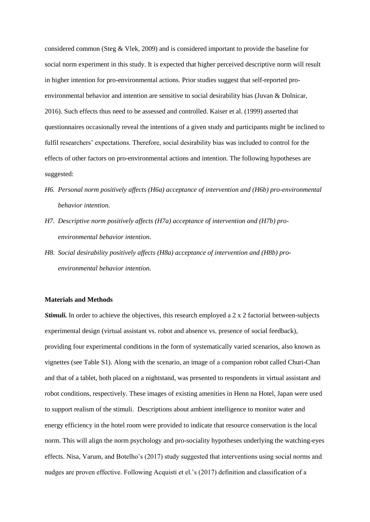considered common (Steg & Vlek, 2009) and is considered important to provide the baseline for social norm experiment in this study. It is expected that higher perceived descriptive norm will result in higher intention for pro-environmental actions. Prior studies suggest that self-reported proenvironmental behavior and intention are sensitive to social desirability bias (Juvan & Dolnicar, 2016). Such effects thus need to be assessed and controlled. Kaiser et al. (1999) asserted that questionnaires occasionally reveal the intentions of a given study and participants might be inclined to fulfil researchers' expectations. Therefore, social desirability bias was included to control for the effects of other factors on pro-environmental actions and intention. The following hypotheses are suggested:

- *H6. Personal norm positively affects (H6a) acceptance of intervention and (H6b) pro-environmental behavior intention.*
- *H7. Descriptive norm positively affects (H7a) acceptance of intervention and (H7b) proenvironmental behavior intention.*
- *H8. Social desirability positively affects (H8a) acceptance of intervention and (H8b) proenvironmental behavior intention.*

### **Materials and Methods**

*Stimuli.* In order to achieve the objectives, this research employed a 2 x 2 factorial between-subjects experimental design (virtual assistant vs. robot and absence vs. presence of social feedback), providing four experimental conditions in the form of systematically varied scenarios, also known as vignettes (see Table S1). Along with the scenario, an image of a companion robot called Churi-Chan and that of a tablet, both placed on a nightstand, was presented to respondents in virtual assistant and robot conditions, respectively. These images of existing amenities in Henn na Hotel, Japan were used to support realism of the stimuli. Descriptions about ambient intelligence to monitor water and energy efficiency in the hotel room were provided to indicate that resource conservation is the local norm. This will align the norm psychology and pro-sociality hypotheses underlying the watching-eyes effects. Nisa, Varum, and Botelho's (2017) study suggested that interventions using social norms and nudges are proven effective. Following Acquisti et el.'s (2017) definition and classification of a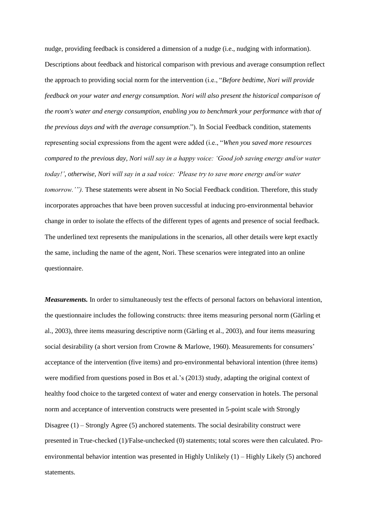nudge, providing feedback is considered a dimension of a nudge (i.e., nudging with information). Descriptions about feedback and historical comparison with previous and average consumption reflect the approach to providing social norm for the intervention (i.e., "*Before bedtime, Nori will provide feedback on your water and energy consumption. Nori will also present the historical comparison of the room's water and energy consumption, enabling you to benchmark your performance with that of the previous days and with the average consumption*."). In Social Feedback condition, statements representing social expressions from the agent were added (i.e., "*When you saved more resources compared to the previous day, Nori will say in a happy voice: 'Good job saving energy and/or water today!', otherwise, Nori will say in a sad voice: 'Please try to save more energy and/or water tomorrow.'").* These statements were absent in No Social Feedback condition. Therefore, this study incorporates approaches that have been proven successful at inducing pro-environmental behavior change in order to isolate the effects of the different types of agents and presence of social feedback. The underlined text represents the manipulations in the scenarios, all other details were kept exactly the same, including the name of the agent, Nori. These scenarios were integrated into an online questionnaire.

*Measurements.* In order to simultaneously test the effects of personal factors on behavioral intention, the questionnaire includes the following constructs: three items measuring personal norm (Gärling et al., 2003), three items measuring descriptive norm (Gärling et al., 2003), and four items measuring social desirability (a short version from Crowne & Marlowe, 1960). Measurements for consumers' acceptance of the intervention (five items) and pro-environmental behavioral intention (three items) were modified from questions posed in Bos et al.'s (2013) study, adapting the original context of healthy food choice to the targeted context of water and energy conservation in hotels. The personal norm and acceptance of intervention constructs were presented in 5-point scale with Strongly Disagree (1) – Strongly Agree (5) anchored statements. The social desirability construct were presented in True-checked (1)/False-unchecked (0) statements; total scores were then calculated. Proenvironmental behavior intention was presented in Highly Unlikely (1) – Highly Likely (5) anchored statements.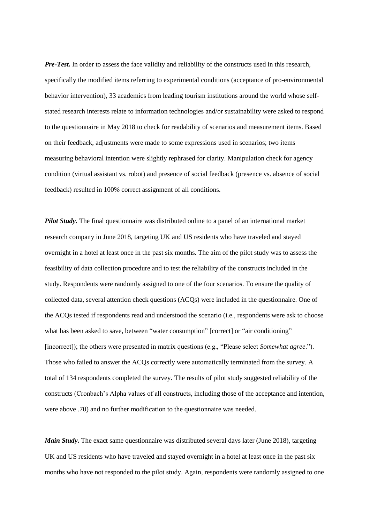*Pre-Test.* In order to assess the face validity and reliability of the constructs used in this research, specifically the modified items referring to experimental conditions (acceptance of pro-environmental behavior intervention), 33 academics from leading tourism institutions around the world whose selfstated research interests relate to information technologies and/or sustainability were asked to respond to the questionnaire in May 2018 to check for readability of scenarios and measurement items. Based on their feedback, adjustments were made to some expressions used in scenarios; two items measuring behavioral intention were slightly rephrased for clarity. Manipulation check for agency condition (virtual assistant vs. robot) and presence of social feedback (presence vs. absence of social feedback) resulted in 100% correct assignment of all conditions.

*Pilot Study.* The final questionnaire was distributed online to a panel of an international market research company in June 2018, targeting UK and US residents who have traveled and stayed overnight in a hotel at least once in the past six months. The aim of the pilot study was to assess the feasibility of data collection procedure and to test the reliability of the constructs included in the study. Respondents were randomly assigned to one of the four scenarios. To ensure the quality of collected data, several attention check questions (ACQs) were included in the questionnaire. One of the ACQs tested if respondents read and understood the scenario (i.e., respondents were ask to choose what has been asked to save, between "water consumption" [correct] or "air conditioning" [incorrect]); the others were presented in matrix questions (e.g., "Please select *Somewhat agree*."). Those who failed to answer the ACQs correctly were automatically terminated from the survey. A total of 134 respondents completed the survey. The results of pilot study suggested reliability of the constructs (Cronbach's Alpha values of all constructs, including those of the acceptance and intention, were above .70) and no further modification to the questionnaire was needed.

*Main Study*. The exact same questionnaire was distributed several days later (June 2018), targeting UK and US residents who have traveled and stayed overnight in a hotel at least once in the past six months who have not responded to the pilot study. Again, respondents were randomly assigned to one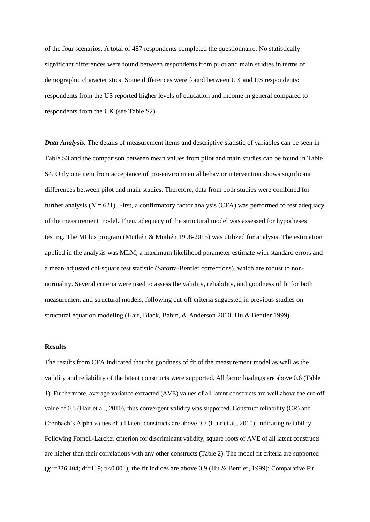of the four scenarios. A total of 487 respondents completed the questionnaire. No statistically significant differences were found between respondents from pilot and main studies in terms of demographic characteristics. Some differences were found between UK and US respondents: respondents from the US reported higher levels of education and income in general compared to respondents from the UK (see Table S2).

*Data Analysis.* The details of measurement items and descriptive statistic of variables can be seen in Table S3 and the comparison between mean values from pilot and main studies can be found in Table S4. Only one item from acceptance of pro-environmental behavior intervention shows significant differences between pilot and main studies. Therefore, data from both studies were combined for further analysis  $(N = 621)$ . First, a confirmatory factor analysis (CFA) was performed to test adequacy of the measurement model. Then, adequacy of the structural model was assessed for hypotheses testing. The MPlus program (Muthén & Muthén 1998-2015) was utilized for analysis. The estimation applied in the analysis was MLM, a maximum likelihood parameter estimate with standard errors and a mean-adjusted chi-square test statistic (Satorra-Bentler corrections), which are robust to nonnormality. Several criteria were used to assess the validity, reliability, and goodness of fit for both measurement and structural models, following cut-off criteria suggested in previous studies on structural equation modeling (Hair, Black, Babin, & Anderson 2010; Hu & Bentler 1999).

#### **Results**

The results from CFA indicated that the goodness of fit of the measurement model as well as the validity and reliability of the latent constructs were supported. All factor loadings are above 0.6 (Table 1). Furthermore, average variance extracted (AVE) values of all latent constructs are well above the cut-off value of 0.5 (Hair et al., 2010), thus convergent validity was supported. Construct reliability (CR) and Cronbach's Alpha values of all latent constructs are above 0.7 (Hair et al., 2010), indicating reliability. Following Fornell-Larcker criterion for discriminant validity, square roots of AVE of all latent constructs are higher than their correlations with any other constructs (Table 2). The model fit criteria are supported  $(\chi^2=336.404; df=119; p<0.001)$ ; the fit indices are above 0.9 (Hu & Bentler, 1999): Comparative Fit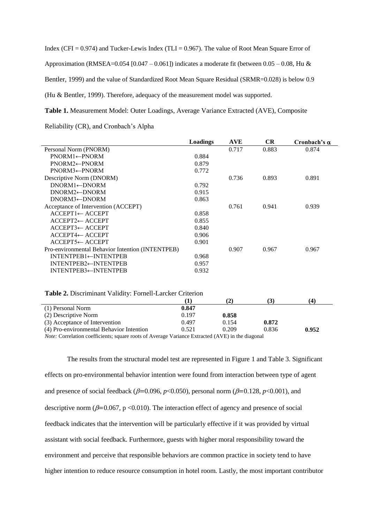Index (CFI =  $0.974$ ) and Tucker-Lewis Index (TLI =  $0.967$ ). The value of Root Mean Square Error of Approximation (RMSEA=0.054 [0.047 – 0.061]) indicates a moderate fit (between  $0.05 - 0.08$ , Hu & Bentler, 1999) and the value of Standardized Root Mean Square Residual (SRMR=0.028) is below 0.9 (Hu & Bentler, 1999). Therefore, adequacy of the measurement model was supported.

**Table 1.** Measurement Model: Outer Loadings, Average Variance Extracted (AVE), Composite

Reliability (CR), and Cronbach's Alpha

|                                                  | Loadings | <b>AVE</b> | <b>CR</b> | Cronbach's $\alpha$ |
|--------------------------------------------------|----------|------------|-----------|---------------------|
| Personal Norm (PNORM)                            |          | 0.717      | 0.883     | 0.874               |
| $PNORM1 \leftarrow PNORM$                        | 0.884    |            |           |                     |
| $PNORM2 \leftarrow PNORM$                        | 0.879    |            |           |                     |
| $PNORM3 \leftarrow PNORM$                        | 0.772    |            |           |                     |
| Descriptive Norm (DNORM)                         |          | 0.736      | 0.893     | 0.891               |
| $DNORM1 \leftarrow DNORM$                        | 0.792    |            |           |                     |
| $DNORM2 \leftarrow DNORM$                        | 0.915    |            |           |                     |
| $DNORM3 \leftarrow DNORM$                        | 0.863    |            |           |                     |
| Acceptance of Intervention (ACCEPT)              |          | 0.761      | 0.941     | 0.939               |
| $ACCEPT1 \leftarrow ACCEPT$                      | 0.858    |            |           |                     |
| $ACCEPT2 \leftarrow ACCEPT$                      | 0.855    |            |           |                     |
| $ACCEPT3 \leftarrow ACCEPT$                      | 0.840    |            |           |                     |
| $ACCEPT4 \leftarrow ACCEPT$                      | 0.906    |            |           |                     |
| $ACCEPT5 \leftarrow ACCEPT$                      | 0.901    |            |           |                     |
| Pro-environmental Behavior Intention (INTENTPEB) |          | 0.907      | 0.967     | 0.967               |
| $INTERI \leftarrow INTERTPEB$                    | 0.968    |            |           |                     |
| INTENTPEB2←INTENTPEB                             | 0.957    |            |           |                     |
| $INTERTPEB3 \leftarrow INTERTPEB$                | 0.932    |            |           |                     |
|                                                  |          |            |           |                     |

| Table 2. Discriminant Validity: Fornell-Larcker Criterion |  |  |  |  |
|-----------------------------------------------------------|--|--|--|--|
|-----------------------------------------------------------|--|--|--|--|

|                                                                                                |       | ĽZ    |       | (4)   |
|------------------------------------------------------------------------------------------------|-------|-------|-------|-------|
| (1) Personal Norm                                                                              | 0.847 |       |       |       |
| (2) Descriptive Norm                                                                           | 0.197 | 0.858 |       |       |
| (3) Acceptance of Intervention                                                                 | 0.497 | 0.154 | 0.872 |       |
| (4) Pro-environmental Behavior Intention                                                       | 0.521 | 0.209 | 0.836 | 0.952 |
| Mater Completion goofficientar causes note of Avenues Manianae Extraoted (AME) in the diagonal |       |       |       |       |

*Note:* Correlation coefficients; square roots of Average Variance Extracted (AVE) in the diagonal

The results from the structural model test are represented in Figure 1 and Table 3. Significant effects on pro-environmental behavior intention were found from interaction between type of agent and presence of social feedback ( $\beta$ =0.096,  $p$ <0.050), personal norm ( $\beta$ =0.128,  $p$ <0.001), and descriptive norm ( $\beta$ =0.067, p <0.010). The interaction effect of agency and presence of social feedback indicates that the intervention will be particularly effective if it was provided by virtual assistant with social feedback. Furthermore, guests with higher moral responsibility toward the environment and perceive that responsible behaviors are common practice in society tend to have higher intention to reduce resource consumption in hotel room. Lastly, the most important contributor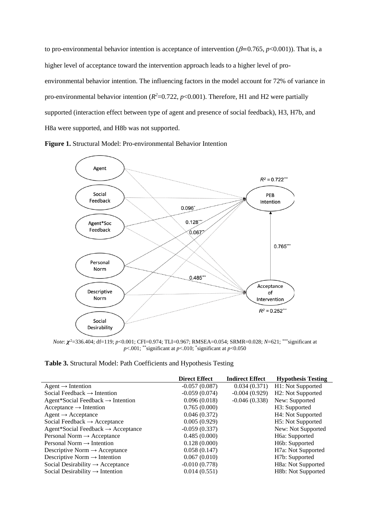to pro-environmental behavior intention is acceptance of intervention ( $\beta$ =0.765, *p*<0.001)). That is, a higher level of acceptance toward the intervention approach leads to a higher level of proenvironmental behavior intention. The influencing factors in the model account for 72% of variance in pro-environmental behavior intention ( $R^2$ =0.722,  $p$ <0.001). Therefore, H1 and H2 were partially supported (interaction effect between type of agent and presence of social feedback), H3, H7b, and H8a were supported, and H8b was not supported.



**Figure 1.** Structural Model: Pro-environmental Behavior Intention



*Note*:  $\chi^2$ =336.404; df=119; *p*<0.001; CFI=0.974; TLI=0.967; RMSEA=0.054; SRMR=0.028; *N*=621; \*\*\* significant at *p*<.001; \*\*significant at *p*<.010; \* significant at *p*<0.050

|  |  |  | Table 3. Structural Model: Path Coefficients and Hypothesis Testing |
|--|--|--|---------------------------------------------------------------------|
|  |  |  |                                                                     |

|                                                | <b>Direct Effect</b> | <b>Indirect Effect</b> | <b>Hypothesis Testing</b>      |
|------------------------------------------------|----------------------|------------------------|--------------------------------|
| Agent $\rightarrow$ Intention                  | $-0.057(0.087)$      | 0.034(0.371)           | H1: Not Supported              |
| Social Feedback $\rightarrow$ Intention        | $-0.059(0.074)$      | $-0.004(0.929)$        | H2: Not Supported              |
| Agent*Social Feedback $\rightarrow$ Intention  | 0.096(0.018)         | $-0.046(0.338)$        | New: Supported                 |
| $Acceptance \rightarrow Intention$             | 0.765(0.000)         |                        | H3: Supported                  |
| Agent $\rightarrow$ Acceptance                 | 0.046(0.372)         |                        | H <sub>4</sub> : Not Supported |
| Social Feedback $\rightarrow$ Acceptance       | 0.005(0.929)         |                        | H <sub>5</sub> : Not Supported |
| Agent*Social Feedback $\rightarrow$ Acceptance | $-0.059(0.337)$      |                        | New: Not Supported             |
| Personal Norm $\rightarrow$ Acceptance         | 0.485(0.000)         |                        | H6a: Supported                 |
| Personal Norm $\rightarrow$ Intention          | 0.128(0.000)         |                        | H <sub>6</sub> b: Supported    |
| Descriptive Norm $\rightarrow$ Acceptance      | 0.058(0.147)         |                        | H7a: Not Supported             |
| Descriptive Norm $\rightarrow$ Intention       | 0.067(0.010)         |                        | H7b: Supported                 |
| Social Desirability $\rightarrow$ Acceptance   | $-0.010(0.778)$      |                        | H8a: Not Supported             |
| Social Desirability $\rightarrow$ Intention    | 0.014(0.551)         |                        | H8b: Not Supported             |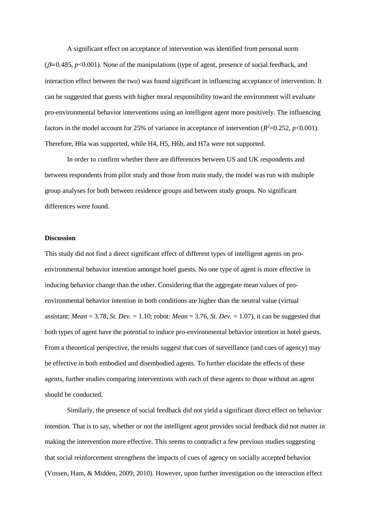A significant effect on acceptance of intervention was identified from personal norm ( $\beta$ =0.485,  $p$ <0.001). None of the manipulations (type of agent, presence of social feedback, and interaction effect between the two) was found significant in influencing acceptance of intervention. It can be suggested that guests with higher moral responsibility toward the environment will evaluate pro-environmental behavior interventions using an intelligent agent more positively. The influencing factors in the model account for 25% of variance in acceptance of intervention  $(R^2=0.252, p<0.001)$ . Therefore, H6a was supported, while H4, H5, H6b, and H7a were not supported.

In order to confirm whether there are differences between US and UK respondents and between respondents from pilot study and those from main study, the model was run with multiple group analyses for both between residence groups and between study groups. No significant differences were found.

#### **Discussion**

This study did not find a direct significant effect of different types of intelligent agents on proenvironmental behavior intention amongst hotel guests. No one type of agent is more effective in inducing behavior change than the other. Considering that the aggregate mean values of proenvironmental behavior intention in both conditions are higher than the neutral value (virtual assistant: *Mean* = 3.78, *St. Dev.* = 1.10; robot: *Mean* = 3.76, *St. Dev.* = 1.07), it can be suggested that both types of agent have the potential to induce pro-environmental behavior intention in hotel guests. From a theoretical perspective, the results suggest that cues of surveillance (and cues of agency) may be effective in both embodied and disembodied agents. To further elucidate the effects of these agents, further studies comparing interventions with each of these agents to those without an agent should be conducted.

Similarly, the presence of social feedback did not yield a significant direct effect on behavior intention. That is to say, whether or not the intelligent agent provides social feedback did not matter in making the intervention more effective. This seems to contradict a few previous studies suggesting that social reinforcement strengthens the impacts of cues of agency on socially accepted behavior (Vossen, Ham, & Midden, 2009; 2010). However, upon further investigation on the interaction effect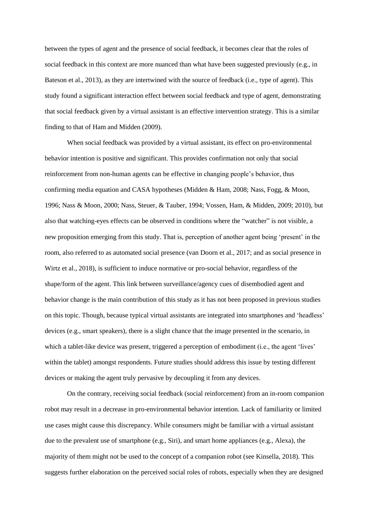between the types of agent and the presence of social feedback, it becomes clear that the roles of social feedback in this context are more nuanced than what have been suggested previously (e.g., in Bateson et al., 2013), as they are intertwined with the source of feedback (i.e., type of agent). This study found a significant interaction effect between social feedback and type of agent, demonstrating that social feedback given by a virtual assistant is an effective intervention strategy. This is a similar finding to that of Ham and Midden (2009).

When social feedback was provided by a virtual assistant, its effect on pro-environmental behavior intention is positive and significant. This provides confirmation not only that social reinforcement from non-human agents can be effective in changing people's behavior, thus confirming media equation and CASA hypotheses (Midden & Ham, 2008; Nass, Fogg, & Moon, 1996; Nass & Moon, 2000; Nass, Steuer, & Tauber, 1994; Vossen, Ham, & Midden, 2009; 2010), but also that watching-eyes effects can be observed in conditions where the "watcher" is not visible, a new proposition emerging from this study. That is, perception of another agent being 'present' in the room, also referred to as automated social presence (van Doorn et al., 2017; and as social presence in Wirtz et al., 2018), is sufficient to induce normative or pro-social behavior, regardless of the shape/form of the agent. This link between surveillance/agency cues of disembodied agent and behavior change is the main contribution of this study as it has not been proposed in previous studies on this topic. Though, because typical virtual assistants are integrated into smartphones and 'headless' devices (e.g., smart speakers), there is a slight chance that the image presented in the scenario, in which a tablet-like device was present, triggered a perception of embodiment (i.e., the agent 'lives' within the tablet) amongst respondents. Future studies should address this issue by testing different devices or making the agent truly pervasive by decoupling it from any devices.

On the contrary, receiving social feedback (social reinforcement) from an in-room companion robot may result in a decrease in pro-environmental behavior intention. Lack of familiarity or limited use cases might cause this discrepancy. While consumers might be familiar with a virtual assistant due to the prevalent use of smartphone (e.g., Siri), and smart home appliances (e.g., Alexa), the majority of them might not be used to the concept of a companion robot (see Kinsella, 2018). This suggests further elaboration on the perceived social roles of robots, especially when they are designed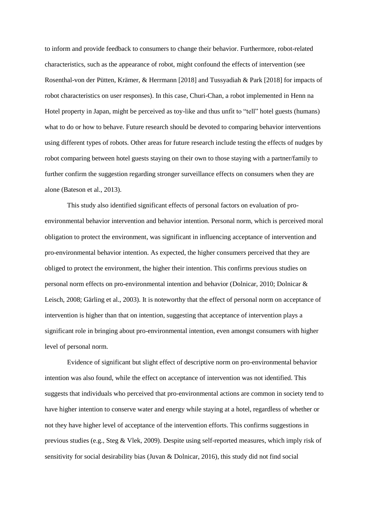to inform and provide feedback to consumers to change their behavior. Furthermore, robot-related characteristics, such as the appearance of robot, might confound the effects of intervention (see Rosenthal-von der Pütten, Krämer, & Herrmann [2018] and Tussyadiah & Park [2018] for impacts of robot characteristics on user responses). In this case, Churi-Chan, a robot implemented in Henn na Hotel property in Japan, might be perceived as toy-like and thus unfit to "tell" hotel guests (humans) what to do or how to behave. Future research should be devoted to comparing behavior interventions using different types of robots. Other areas for future research include testing the effects of nudges by robot comparing between hotel guests staying on their own to those staying with a partner/family to further confirm the suggestion regarding stronger surveillance effects on consumers when they are alone (Bateson et al., 2013).

This study also identified significant effects of personal factors on evaluation of proenvironmental behavior intervention and behavior intention. Personal norm, which is perceived moral obligation to protect the environment, was significant in influencing acceptance of intervention and pro-environmental behavior intention. As expected, the higher consumers perceived that they are obliged to protect the environment, the higher their intention. This confirms previous studies on personal norm effects on pro-environmental intention and behavior (Dolnicar, 2010; Dolnicar & Leisch, 2008; Gärling et al., 2003). It is noteworthy that the effect of personal norm on acceptance of intervention is higher than that on intention, suggesting that acceptance of intervention plays a significant role in bringing about pro-environmental intention, even amongst consumers with higher level of personal norm.

Evidence of significant but slight effect of descriptive norm on pro-environmental behavior intention was also found, while the effect on acceptance of intervention was not identified. This suggests that individuals who perceived that pro-environmental actions are common in society tend to have higher intention to conserve water and energy while staying at a hotel, regardless of whether or not they have higher level of acceptance of the intervention efforts. This confirms suggestions in previous studies (e.g., Steg & Vlek, 2009). Despite using self-reported measures, which imply risk of sensitivity for social desirability bias (Juvan & Dolnicar, 2016), this study did not find social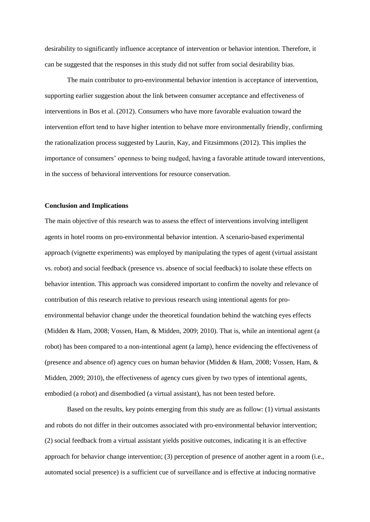desirability to significantly influence acceptance of intervention or behavior intention. Therefore, it can be suggested that the responses in this study did not suffer from social desirability bias.

The main contributor to pro-environmental behavior intention is acceptance of intervention, supporting earlier suggestion about the link between consumer acceptance and effectiveness of interventions in Bos et al. (2012). Consumers who have more favorable evaluation toward the intervention effort tend to have higher intention to behave more environmentally friendly, confirming the rationalization process suggested by Laurin, Kay, and Fitzsimmons (2012). This implies the importance of consumers' openness to being nudged, having a favorable attitude toward interventions, in the success of behavioral interventions for resource conservation.

#### **Conclusion and Implications**

The main objective of this research was to assess the effect of interventions involving intelligent agents in hotel rooms on pro-environmental behavior intention. A scenario-based experimental approach (vignette experiments) was employed by manipulating the types of agent (virtual assistant vs. robot) and social feedback (presence vs. absence of social feedback) to isolate these effects on behavior intention. This approach was considered important to confirm the novelty and relevance of contribution of this research relative to previous research using intentional agents for proenvironmental behavior change under the theoretical foundation behind the watching eyes effects (Midden & Ham, 2008; Vossen, Ham, & Midden, 2009; 2010). That is, while an intentional agent (a robot) has been compared to a non-intentional agent (a lamp), hence evidencing the effectiveness of (presence and absence of) agency cues on human behavior (Midden & Ham, 2008; Vossen, Ham, & Midden, 2009; 2010), the effectiveness of agency cues given by two types of intentional agents, embodied (a robot) and disembodied (a virtual assistant), has not been tested before.

Based on the results, key points emerging from this study are as follow: (1) virtual assistants and robots do not differ in their outcomes associated with pro-environmental behavior intervention; (2) social feedback from a virtual assistant yields positive outcomes, indicating it is an effective approach for behavior change intervention; (3) perception of presence of another agent in a room (i.e., automated social presence) is a sufficient cue of surveillance and is effective at inducing normative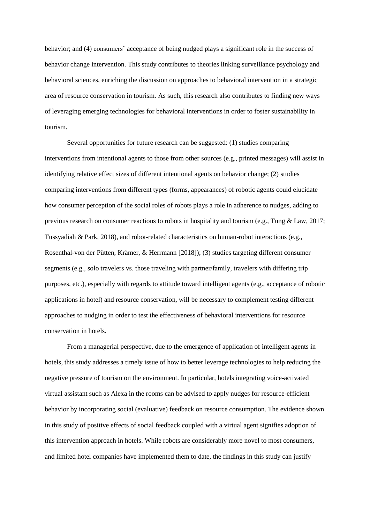behavior; and (4) consumers' acceptance of being nudged plays a significant role in the success of behavior change intervention. This study contributes to theories linking surveillance psychology and behavioral sciences, enriching the discussion on approaches to behavioral intervention in a strategic area of resource conservation in tourism. As such, this research also contributes to finding new ways of leveraging emerging technologies for behavioral interventions in order to foster sustainability in tourism.

Several opportunities for future research can be suggested: (1) studies comparing interventions from intentional agents to those from other sources (e.g., printed messages) will assist in identifying relative effect sizes of different intentional agents on behavior change; (2) studies comparing interventions from different types (forms, appearances) of robotic agents could elucidate how consumer perception of the social roles of robots plays a role in adherence to nudges, adding to previous research on consumer reactions to robots in hospitality and tourism (e.g., Tung & Law, 2017; Tussyadiah & Park, 2018), and robot-related characteristics on human-robot interactions (e.g., Rosenthal-von der Pütten, Krämer, & Herrmann [2018]); (3) studies targeting different consumer segments (e.g., solo travelers vs. those traveling with partner/family, travelers with differing trip purposes, etc.), especially with regards to attitude toward intelligent agents (e.g., acceptance of robotic applications in hotel) and resource conservation, will be necessary to complement testing different approaches to nudging in order to test the effectiveness of behavioral interventions for resource conservation in hotels.

From a managerial perspective, due to the emergence of application of intelligent agents in hotels, this study addresses a timely issue of how to better leverage technologies to help reducing the negative pressure of tourism on the environment. In particular, hotels integrating voice-activated virtual assistant such as Alexa in the rooms can be advised to apply nudges for resource-efficient behavior by incorporating social (evaluative) feedback on resource consumption. The evidence shown in this study of positive effects of social feedback coupled with a virtual agent signifies adoption of this intervention approach in hotels. While robots are considerably more novel to most consumers, and limited hotel companies have implemented them to date, the findings in this study can justify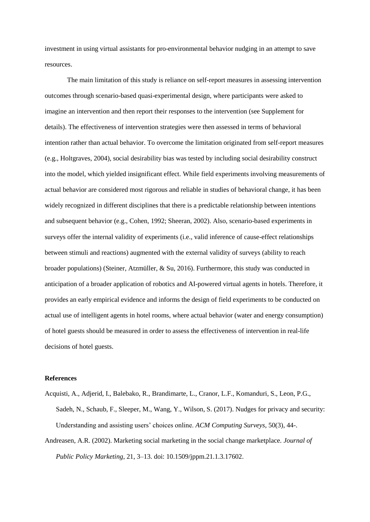investment in using virtual assistants for pro-environmental behavior nudging in an attempt to save resources.

The main limitation of this study is reliance on self-report measures in assessing intervention outcomes through scenario-based quasi-experimental design, where participants were asked to imagine an intervention and then report their responses to the intervention (see Supplement for details). The effectiveness of intervention strategies were then assessed in terms of behavioral intention rather than actual behavior. To overcome the limitation originated from self-report measures (e.g., Holtgraves, 2004), social desirability bias was tested by including social desirability construct into the model, which yielded insignificant effect. While field experiments involving measurements of actual behavior are considered most rigorous and reliable in studies of behavioral change, it has been widely recognized in different disciplines that there is a predictable relationship between intentions and subsequent behavior (e.g., Cohen, 1992; Sheeran, 2002). Also, scenario-based experiments in surveys offer the internal validity of experiments (i.e., valid inference of cause-effect relationships between stimuli and reactions) augmented with the external validity of surveys (ability to reach broader populations) (Steiner, Atzmüller, & Su, 2016). Furthermore, this study was conducted in anticipation of a broader application of robotics and AI-powered virtual agents in hotels. Therefore, it provides an early empirical evidence and informs the design of field experiments to be conducted on actual use of intelligent agents in hotel rooms, where actual behavior (water and energy consumption) of hotel guests should be measured in order to assess the effectiveness of intervention in real-life decisions of hotel guests.

### **References**

- Acquisti, A., Adjerid, I., Balebako, R., Brandimarte, L., Cranor, L.F., Komanduri, S., Leon, P.G., Sadeh, N., Schaub, F., Sleeper, M., Wang, Y., Wilson, S. (2017). Nudges for privacy and security: Understanding and assisting users' choices online. *ACM Computing Surveys*, 50(3), 44-.
- Andreasen, A.R. (2002). Marketing social marketing in the social change marketplace. *Journal of Public Policy Marketing*, 21, 3–13. doi: 10.1509/jppm.21.1.3.17602.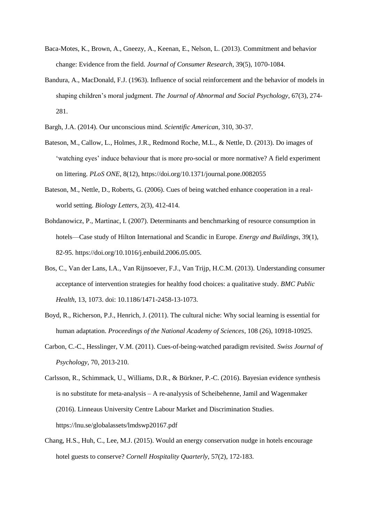- Baca-Motes, K., Brown, A., Gneezy, A., Keenan, E., Nelson, L. (2013). Commitment and behavior change: Evidence from the field. *Journal of Consumer Research*, 39(5), 1070-1084.
- Bandura, A., MacDonald, F.J. (1963). Influence of social reinforcement and the behavior of models in shaping children's moral judgment. *The Journal of Abnormal and Social Psychology*, 67(3), 274- 281.
- Bargh, J.A. (2014). Our unconscious mind. *Scientific American*, 310, 30-37.
- Bateson, M., Callow, L., Holmes, J.R., Redmond Roche, M.L., & Nettle, D. (2013). Do images of 'watching eyes' induce behaviour that is more pro-social or more normative? A field experiment on littering. *PLoS ONE*, 8(12), https://doi.org/10.1371/journal.pone.0082055
- Bateson, M., Nettle, D., Roberts, G. (2006). Cues of being watched enhance cooperation in a realworld setting. *Biology Letters*, 2(3), 412-414.
- Bohdanowicz, P., Martinac, I. (2007). Determinants and benchmarking of resource consumption in hotels—Case study of Hilton International and Scandic in Europe. *Energy and Buildings*, 39(1), 82-95. https://doi.org/10.1016/j.enbuild.2006.05.005.
- Bos, C., Van der Lans, I.A., Van Rijnsoever, F.J., Van Trijp, H.C.M. (2013). Understanding consumer acceptance of intervention strategies for healthy food choices: a qualitative study. *BMC Public Health*, 13, 1073. doi: 10.1186/1471-2458-13-1073.
- Boyd, R., Richerson, P.J., Henrich, J. (2011). The cultural niche: Why social learning is essential for human adaptation. *Proceedings of the National Academy of Sciences*, 108 (26), 10918-10925.
- Carbon, C.-C., Hesslinger, V.M. (2011). Cues-of-being-watched paradigm revisited. *Swiss Journal of Psychology*, 70, 2013-210.
- Carlsson, R., Schimmack, U., Williams, D.R., & Bürkner, P.-C. (2016). Bayesian evidence synthesis is no substitute for meta-analysis – A re-analyysis of Scheibehenne, Jamil and Wagenmaker (2016). Linneaus University Centre Labour Market and Discrimination Studies. https://lnu.se/globalassets/lmdswp20167.pdf
- Chang, H.S., Huh, C., Lee, M.J. (2015). Would an energy conservation nudge in hotels encourage hotel guests to conserve? *Cornell Hospitality Quarterly,* 57(2), 172-183.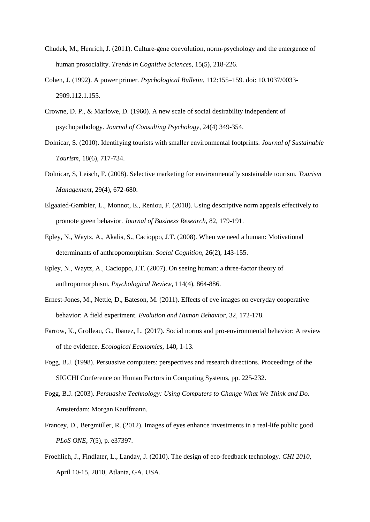- Chudek, M., Henrich, J. (2011). Culture-gene coevolution, norm-psychology and the emergence of human prosociality. *Trends in Cognitive Science*s, 15(5), 218-226.
- Cohen, J. (1992). A power primer. *Psychological Bulletin*, 112:155–159. doi: 10.1037/0033- 2909.112.1.155.
- Crowne, D. P., & Marlowe, D. (1960). A new scale of social desirability independent of psychopathology. *Journal of Consulting Psychology*, 24(4) 349-354.
- Dolnicar, S. (2010). Identifying tourists with smaller environmental footprints. *Journal of Sustainable Tourism*, 18(6), 717-734.
- Dolnicar, S, Leisch, F. (2008). Selective marketing for environmentally sustainable tourism. *Tourism Management*, 29(4), 672-680.
- Elgaaied-Gambier, L., Monnot, E., Reniou, F. (2018). Using descriptive norm appeals effectively to promote green behavior. *Journal of Business Research*, 82, 179-191.
- Epley, N., Waytz, A., Akalis, S., Cacioppo, J.T. (2008). When we need a human: Motivational determinants of anthropomorphism. *Social Cognition*, 26(2), 143-155.
- Epley, N., Waytz, A., Cacioppo, J.T. (2007). On seeing human: a three-factor theory of anthropomorphism. *Psychological Review*, 114(4), 864-886.
- Ernest-Jones, M., Nettle, D., Bateson, M. (2011). Effects of eye images on everyday cooperative behavior: A field experiment. *Evolution and Human Behavior*, 32, 172-178.
- Farrow, K., Grolleau, G., Ibanez, L. (2017). Social norms and pro-environmental behavior: A review of the evidence. *Ecological Economics*, 140, 1-13.
- Fogg, B.J. (1998). Persuasive computers: perspectives and research directions. Proceedings of the SIGCHI Conference on Human Factors in Computing Systems, pp. 225-232.
- Fogg, B.J. (2003). *Persuasive Technology: Using Computers to Change What We Think and Do*. Amsterdam: Morgan Kauffmann.
- Francey, D., Bergmüller, R. (2012). Images of eyes enhance investments in a real-life public good. *PLoS ONE*, 7(5), p. e37397.
- Froehlich, J., Findlater, L., Landay, J. (2010). The design of eco-feedback technology. *CHI 2010*, April 10-15, 2010, Atlanta, GA, USA.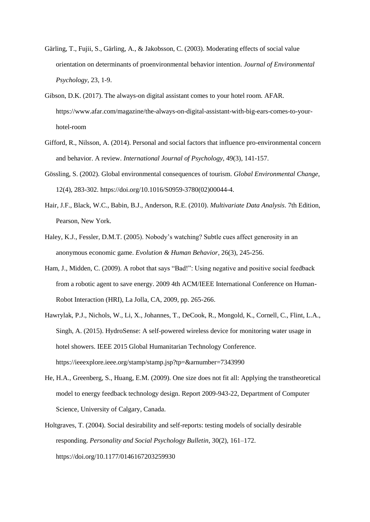- Gärling, T., Fujii, S., Gärling, A., & Jakobsson, C. (2003). Moderating effects of social value orientation on determinants of proenvironmental behavior intention. *Journal of Environmental Psychology*, 23, 1-9.
- Gibson, D.K. (2017). The always-on digital assistant comes to your hotel room. AFAR. https://www.afar.com/magazine/the-always-on-digital-assistant-with-big-ears-comes-to-yourhotel-room
- Gifford, R., Nilsson, A. (2014). Personal and social factors that influence pro-environmental concern and behavior. A review. *International Journal of Psychology*, 49(3), 141-157.
- Gössling, S. (2002). Global environmental consequences of tourism. *Global Environmental Change*, 12(4), 283-302. https://doi.org/10.1016/S0959-3780(02)00044-4.
- Hair, J.F., Black, W.C., Babin, B.J., Anderson, R.E. (2010). *Multivariate Data Analysis*. 7th Edition, Pearson, New York.
- Haley, K.J., Fessler, D.M.T. (2005). Nobody's watching? Subtle cues affect generosity in an anonymous economic game. *Evolution & Human Behavior*, 26(3), 245-256.
- Ham, J., Midden, C. (2009). A robot that says "Bad!": Using negative and positive social feedback from a robotic agent to save energy. 2009 4th ACM/IEEE International Conference on Human-Robot Interaction (HRI), La Jolla, CA, 2009, pp. 265-266.
- Hawrylak, P.J., Nichols, W., Li, X., Johannes, T., DeCook, R., Mongold, K., Cornell, C., Flint, L.A., Singh, A. (2015). HydroSense: A self-powered wireless device for monitoring water usage in hotel showers. IEEE 2015 Global Humanitarian Technology Conference. https://ieeexplore.ieee.org/stamp/stamp.jsp?tp=&arnumber=7343990
- He, H.A., Greenberg, S., Huang, E.M. (2009). One size does not fit all: Applying the transtheoretical model to energy feedback technology design. Report 2009-943-22, Department of Computer Science, University of Calgary, Canada.
- Holtgraves, T. (2004). Social desirability and self-reports: testing models of socially desirable responding. *Personality and Social Psychology Bulletin*, 30(2), 161–172. https://doi.org/10.1177/0146167203259930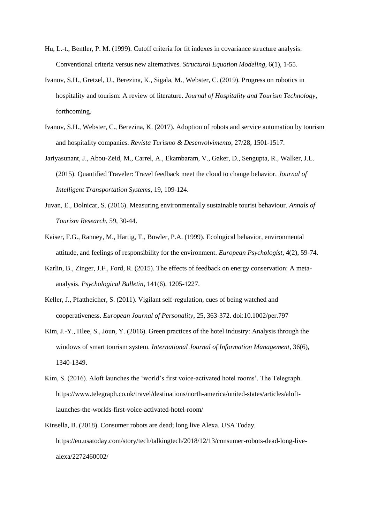- Hu, L.-t., Bentler, P. M. (1999). Cutoff criteria for fit indexes in covariance structure analysis: Conventional criteria versus new alternatives. *Structural Equation Modeling*, 6(1), 1-55.
- Ivanov, S.H., Gretzel, U., Berezina, K., Sigala, M., Webster, C. (2019). Progress on robotics in hospitality and tourism: A review of literature. *Journal of Hospitality and Tourism Technology*, forthcoming.
- Ivanov, S.H., Webster, C., Berezina, K. (2017). Adoption of robots and service automation by tourism and hospitality companies. *Revista Turismo & Desenvolvimento*, 27/28, 1501-1517.
- Jariyasunant, J., Abou-Zeid, M., Carrel, A., Ekambaram, V., Gaker, D., Sengupta, R., Walker, J.L. (2015). Quantified Traveler: Travel feedback meet the cloud to change behavior. *Journal of Intelligent Transportation Systems*, 19, 109-124.
- Juvan, E., Dolnicar, S. (2016). Measuring environmentally sustainable tourist behaviour. *Annals of Tourism Research*, 59, 30-44.
- Kaiser, F.G., Ranney, M., Hartig, T., Bowler, P.A. (1999). Ecological behavior, environmental attitude, and feelings of responsibility for the environment. *European Psychologist*, 4(2), 59-74.
- Karlin, B., Zinger, J.F., Ford, R. (2015). The effects of feedback on energy conservation: A metaanalysis. *Psychological Bulletin*, 141(6), 1205-1227.
- Keller, J., Pfattheicher, S. (2011). Vigilant self-regulation, cues of being watched and cooperativeness. *European Journal of Personality*, 25, 363-372. doi:10.1002/per.797
- Kim, J.-Y., Hlee, S., Joun, Y. (2016). Green practices of the hotel industry: Analysis through the windows of smart tourism system. *International Journal of Information Management*, 36(6), 1340-1349.
- Kim, S. (2016). Aloft launches the 'world's first voice-activated hotel rooms'. The Telegraph. https://www.telegraph.co.uk/travel/destinations/north-america/united-states/articles/aloftlaunches-the-worlds-first-voice-activated-hotel-room/
- Kinsella, B. (2018). Consumer robots are dead; long live Alexa. USA Today. https://eu.usatoday.com/story/tech/talkingtech/2018/12/13/consumer-robots-dead-long-livealexa/2272460002/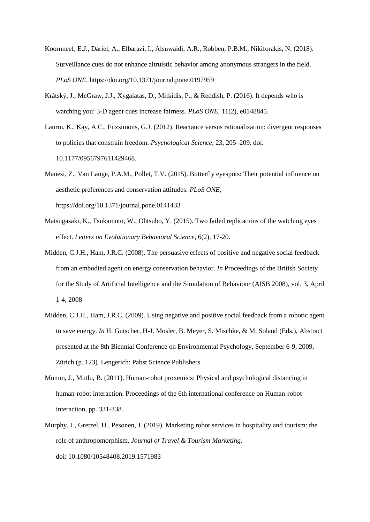- Koornneef, E.J., Dariel, A., Elbarazi, I., Alsuwaidi, A.R., Robben, P.B.M., Nikiforakis, N. (2018). Surveillance cues do not enhance altruistic behavior among anonymous strangers in the field. *PLoS ONE*. https://doi.org/10.1371/journal.pone.0197959
- Krátský, J., McGraw, J.J., Xygalatas, D., Mitkidis, P., & Reddish, P. (2016). It depends who is watching you: 3-D agent cues increase fairness. *PLoS ONE*, 11(2), e0148845.
- Laurin, K., Kay, A.C., Fitzsimons, G.J. (2012). Reactance versus rationalization: divergent responses to policies that constrain freedom. *Psychological Science*, 23, 205–209. doi: 10.1177/0956797611429468.
- Manesi, Z., Van Lange, P.A.M., Pollet, T.V. (2015). Butterfly eyespots: Their potential influence on aesthetic preferences and conservation attitudes. *PLoS ONE*, https://doi.org/10.1371/journal.pone.0141433
- Matsugasaki, K., Tsukamoto, W., Ohtsubo, Y. (2015). Two failed replications of the watching eyes effect. *Letters on Evolutionary Behavioral Science*, 6(2), 17-20.
- Midden, C.J.H., Ham, J.R.C. (2008). The persuasive effects of positive and negative social feedback from an embodied agent on energy conservation behavior. *In* Proceedings of the British Society for the Study of Artificial Intelligence and the Simulation of Behaviour (AISB 2008), vol. 3, April 1-4, 2008
- Midden, C.J.H., Ham, J.R.C. (2009). Using negative and positive social feedback from a robotic agent to save energy. *In* H. Gutscher, H-J. Mosler, B. Meyer, S. Mischke, & M. Soland (Eds.), Abstract presented at the 8th Biennial Conference on Environmental Psychology, September 6-9, 2009, Zürich (p. 123). Lengerich: Pabst Science Publishers.
- Mumm, J., Mutlu, B. (2011). Human-robot proxemics: Physical and psychological distancing in human-robot interaction. Proceedings of the 6th international conference on Human-robot interaction, pp. 331-338.
- Murphy, J., Gretzel, U., Pesonen, J. (2019). Marketing robot services in hospitality and tourism: the role of anthropomorphism, *Journal of Travel & Tourism Marketing*. doi: 10.1080/10548408.2019.1571983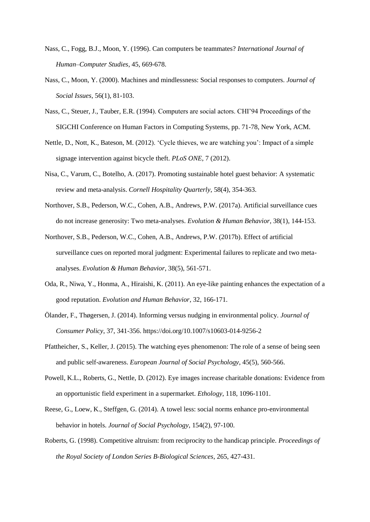- Nass, C., Fogg, B.J., Moon, Y. (1996). Can computers be teammates? *International Journal of Human–Computer Studies*, 45, 669-678.
- Nass, C., Moon, Y. (2000). Machines and mindlessness: Social responses to computers. *Journal of Social Issues*, 56(1), 81-103.
- Nass, C., Steuer, J., Tauber, E.R. (1994). Computers are social actors. CHI'94 Proceedings of the SIGCHI Conference on Human Factors in Computing Systems, pp. 71-78, New York, ACM.
- Nettle, D., Nott, K., Bateson, M. (2012). 'Cycle thieves, we are watching you': Impact of a simple signage intervention against bicycle theft. *PLoS ONE*, 7 (2012).
- Nisa, C., Varum, C., Botelho, A. (2017). Promoting sustainable hotel guest behavior: A systematic review and meta-analysis. *Cornell Hospitality Quarterly*, 58(4), 354-363.
- Northover, S.B., Pederson, W.C., Cohen, A.B., Andrews, P.W. (2017a). Artificial surveillance cues do not increase generosity: Two meta-analyses. *Evolution & Human Behavior*, 38(1), 144-153.
- Northover, S.B., Pederson, W.C., Cohen, A.B., Andrews, P.W. (2017b). Effect of artificial surveillance cues on reported moral judgment: Experimental failures to replicate and two metaanalyses. *Evolution & Human Behavior*, 38(5), 561-571.
- Oda, R., Niwa, Y., Honma, A., Hiraishi, K. (2011). An eye-like painting enhances the expectation of a good reputation. *Evolution and Human Behavior*, 32, 166-171.
- Ölander, F., Thøgersen, J. (2014). Informing versus nudging in environmental policy. *Journal of Consumer Policy*, 37, 341-356. https://doi.org/10.1007/s10603-014-9256-2
- Pfattheicher, S., Keller, J. (2015). The watching eyes phenomenon: The role of a sense of being seen and public self-awareness. *European Journal of Social Psychology*, 45(5), 560-566.
- Powell, K.L., Roberts, G., Nettle, D. (2012). Eye images increase charitable donations: Evidence from an opportunistic field experiment in a supermarket. *Ethology*, 118, 1096-1101.
- Reese, G., Loew, K., Steffgen, G. (2014). A towel less: social norms enhance pro-environmental behavior in hotels. *Journal of Social Psychology*, 154(2), 97-100.
- Roberts, G. (1998). Competitive altruism: from reciprocity to the handicap principle. *Proceedings of the Royal Society of London Series B-Biological Sciences*, 265, 427-431.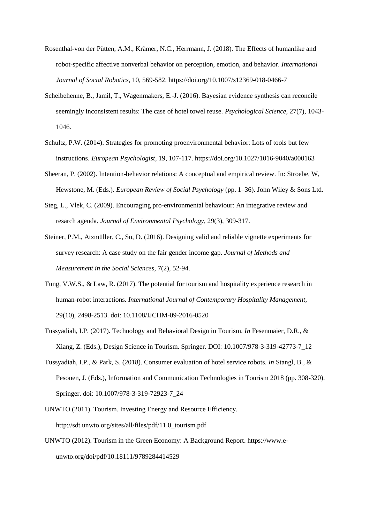- Rosenthal-von der Pütten, A.M., Krämer, N.C., Herrmann, J. (2018). The Effects of humanlike and robot-specific affective nonverbal behavior on perception, emotion, and behavior. *International Journal of Social Robotics*, 10, 569-582. https://doi.org/10.1007/s12369-018-0466-7
- Scheibehenne, B., Jamil, T., Wagenmakers, E.-J. (2016). Bayesian evidence synthesis can reconcile seemingly inconsistent results: The case of hotel towel reuse. *Psychological Science*, 27(7), 1043- 1046.
- Schultz, P.W. (2014). Strategies for promoting proenvironmental behavior: Lots of tools but few instructions. *European Psychologist*, 19, 107-117. https://doi.org/10.1027/1016-9040/a000163
- Sheeran, P. (2002). Intention-behavior relations: A conceptual and empirical review. In: Stroebe, W, Hewstone, M. (Eds.). *European Review of Social Psychology* (pp. 1–36). John Wiley & Sons Ltd.
- Steg, L., Vlek, C. (2009). Encouraging pro-environmental behaviour: An integrative review and resarch agenda. *Journal of Environmental Psychology,* 29(3), 309-317.
- Steiner, P.M., Atzmüller, C., Su, D. (2016). Designing valid and reliable vignette experiments for survey research: A case study on the fair gender income gap. *Journal of Methods and Measurement in the Social Sciences*, 7(2), 52-94.
- Tung, V.W.S., & Law, R. (2017). The potential for tourism and hospitality experience research in human-robot interactions. *International Journal of Contemporary Hospitality Management*, 29(10), 2498-2513. doi: 10.1108/IJCHM-09-2016-0520
- Tussyadiah, I.P. (2017). Technology and Behavioral Design in Tourism. *In* Fesenmaier, D.R., & Xiang, Z. (Eds.), Design Science in Tourism. Springer. DOI: 10.1007/978-3-319-42773-7\_12
- Tussyadiah, I.P., & Park, S. (2018). Consumer evaluation of hotel service robots. *In* Stangl, B., & Pesonen, J. (Eds.), Information and Communication Technologies in Tourism 2018 (pp. 308-320). Springer. doi: 10.1007/978-3-319-72923-7\_24
- UNWTO (2011). Tourism. Investing Energy and Resource Efficiency. http://sdt.unwto.org/sites/all/files/pdf/11.0\_tourism.pdf
- UNWTO (2012). Tourism in the Green Economy: A Background Report. https://www.eunwto.org/doi/pdf/10.18111/9789284414529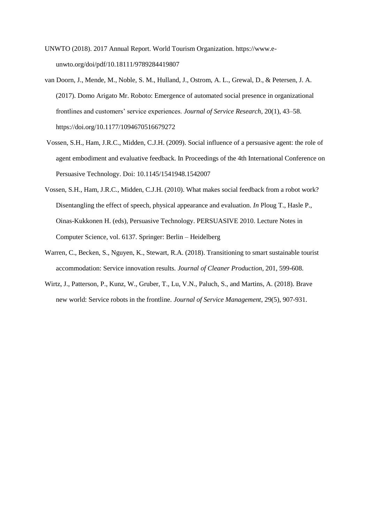UNWTO (2018). 2017 Annual Report. World Tourism Organization. https://www.eunwto.org/doi/pdf/10.18111/9789284419807

- van Doorn, J., Mende, M., Noble, S. M., Hulland, J., Ostrom, A. L., Grewal, D., & Petersen, J. A. (2017). Domo Arigato Mr. Roboto: Emergence of automated social presence in organizational frontlines and customers' service experiences. *Journal of Service Research*, 20(1), 43–58. https://doi.org/10.1177/1094670516679272
- Vossen, S.H., Ham, J.R.C., Midden, C.J.H. (2009). Social influence of a persuasive agent: the role of agent embodiment and evaluative feedback. In Proceedings of the 4th International Conference on Persuasive Technology. Doi: 10.1145/1541948.1542007
- Vossen, S.H., Ham, J.R.C., Midden, C.J.H. (2010). What makes social feedback from a robot work? Disentangling the effect of speech, physical appearance and evaluation. *In* Ploug T., Hasle P., Oinas-Kukkonen H. (eds), Persuasive Technology. PERSUASIVE 2010. Lecture Notes in Computer Science, vol. 6137. Springer: Berlin – Heidelberg
- Warren, C., Becken, S., Nguyen, K., Stewart, R.A. (2018). Transitioning to smart sustainable tourist accommodation: Service innovation results. *Journal of Cleaner Production*, 201, 599-608.
- Wirtz, J., Patterson, P., Kunz, W., Gruber, T., Lu, V.N., Paluch, S., and Martins, A. (2018). Brave new world: Service robots in the frontline. *Journal of Service Management*, 29(5), 907-931.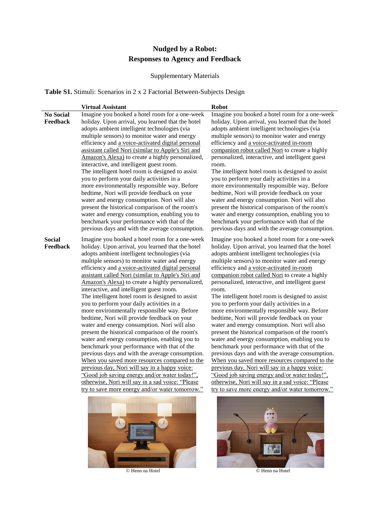# Supplementary Materials

# **Table S1.** Stimuli: Scenarios in 2 x 2 Factorial Between-Subjects Design

|                  | <b>Virtual Assistant</b>                                                                        | <b>Robot</b>                                                                                    |
|------------------|-------------------------------------------------------------------------------------------------|-------------------------------------------------------------------------------------------------|
| <b>No Social</b> | Imagine you booked a hotel room for a one-week                                                  | Imagine you booked a hotel room for a one-week                                                  |
| Feedback         | holiday. Upon arrival, you learned that the hotel                                               | holiday. Upon arrival, you learned that the hotel                                               |
|                  | adopts ambient intelligent technologies (via                                                    | adopts ambient intelligent technologies (via                                                    |
|                  | multiple sensors) to monitor water and energy                                                   | multiple sensors) to monitor water and energy                                                   |
|                  | efficiency and a voice-activated digital personal                                               | efficiency and a voice-activated in-room                                                        |
|                  | assistant called Nori (similar to Apple's Siri and                                              | companion robot called Nori to create a highly                                                  |
|                  | Amazon's Alexa) to create a highly personalized,                                                | personalized, interactive, and intelligent guest                                                |
|                  | interactive, and intelligent guest room.                                                        | room.                                                                                           |
|                  | The intelligent hotel room is designed to assist                                                | The intelligent hotel room is designed to assist                                                |
|                  | you to perform your daily activities in a                                                       | you to perform your daily activities in a                                                       |
|                  | more environmentally responsible way. Before                                                    | more environmentally responsible way. Before                                                    |
|                  | bedtime, Nori will provide feedback on your                                                     | bedtime, Nori will provide feedback on your                                                     |
|                  | water and energy consumption. Nori will also                                                    | water and energy consumption. Nori will also                                                    |
|                  | present the historical comparison of the room's                                                 | present the historical comparison of the room's                                                 |
|                  | water and energy consumption, enabling you to                                                   | water and energy consumption, enabling you to                                                   |
|                  | benchmark your performance with that of the                                                     | benchmark your performance with that of the                                                     |
|                  | previous days and with the average consumption.                                                 | previous days and with the average consumption.                                                 |
| <b>Social</b>    | Imagine you booked a hotel room for a one-week                                                  | Imagine you booked a hotel room for a one-week                                                  |
| Feedback         | holiday. Upon arrival, you learned that the hotel                                               | holiday. Upon arrival, you learned that the hotel                                               |
|                  | adopts ambient intelligent technologies (via                                                    | adopts ambient intelligent technologies (via                                                    |
|                  | multiple sensors) to monitor water and energy                                                   | multiple sensors) to monitor water and energy                                                   |
|                  | efficiency and a voice-activated digital personal                                               | efficiency and a voice-activated in-room                                                        |
|                  | assistant called Nori (similar to Apple's Siri and                                              | companion robot called Nori to create a highly                                                  |
|                  | Amazon's Alexa) to create a highly personalized,                                                | personalized, interactive, and intelligent guest                                                |
|                  | interactive, and intelligent guest room.                                                        | room.                                                                                           |
|                  | The intelligent hotel room is designed to assist                                                | The intelligent hotel room is designed to assist                                                |
|                  | you to perform your daily activities in a                                                       | you to perform your daily activities in a                                                       |
|                  | more environmentally responsible way. Before                                                    | more environmentally responsible way. Before                                                    |
|                  | bedtime, Nori will provide feedback on your                                                     | bedtime, Nori will provide feedback on your                                                     |
|                  | water and energy consumption. Nori will also<br>present the historical comparison of the room's | water and energy consumption. Nori will also<br>present the historical comparison of the room's |
|                  | water and energy consumption, enabling you to                                                   | water and energy consumption, enabling you to                                                   |
|                  | benchmark your performance with that of the                                                     | benchmark your performance with that of the                                                     |
|                  | previous days and with the average consumption.                                                 | previous days and with the average consumption.                                                 |
|                  | When you saved more resources compared to the                                                   | When you saved more resources compared to the                                                   |
|                  | previous day, Nori will say in a happy voice:                                                   | previous day, Nori will say in a happy voice:                                                   |
|                  | "Good job saving energy and/or water today!".                                                   | "Good job saving energy and/or water today!".                                                   |
|                  | otherwise, Nori will say in a sad voice: "Please                                                | otherwise, Nori will say in a sad voice: "Please                                                |
|                  | try to save more energy and/or water tomorrow."                                                 | try to save more energy and/or water tomorrow."                                                 |
|                  |                                                                                                 |                                                                                                 |

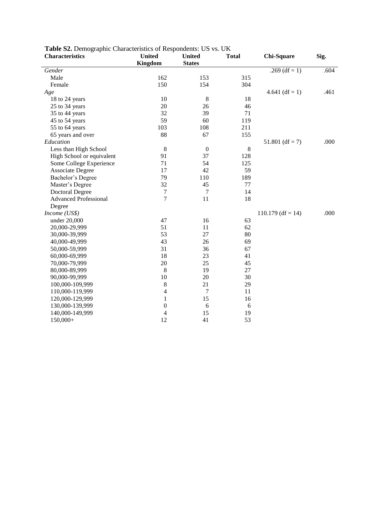| <b>Characteristics</b>       | <b>United</b>    | <b>United</b>    | <b>Total</b> | Chi-Square          | Sig. |
|------------------------------|------------------|------------------|--------------|---------------------|------|
|                              | <b>Kingdom</b>   | <b>States</b>    |              |                     |      |
| Gender                       |                  |                  |              | .269 (df = 1)       | .604 |
| Male                         | 162              | 153              | 315          |                     |      |
| Female                       | 150              | 154              | 304          |                     |      |
| Age                          |                  |                  |              | 4.641 ( $df = 1$ )  | .461 |
| 18 to 24 years               | 10               | $\,8\,$          | 18           |                     |      |
| 25 to 34 years               | 20               | 26               | 46           |                     |      |
| 35 to 44 years               | 32               | 39               | 71           |                     |      |
| 45 to 54 years               | 59               | 60               | 119          |                     |      |
| 55 to 64 years               | 103              | 108              | 211          |                     |      |
| 65 years and over            | 88               | 67               | 155          |                     |      |
| Education                    |                  |                  |              | 51.801 (df = 7)     | .000 |
| Less than High School        | 8                | $\boldsymbol{0}$ | $\,8\,$      |                     |      |
| High School or equivalent    | 91               | 37               | 128          |                     |      |
| Some College Experience      | 71               | 54               | 125          |                     |      |
| <b>Associate Degree</b>      | 17               | 42               | 59           |                     |      |
| Bachelor's Degree            | 79               | 110              | 189          |                     |      |
| Master's Degree              | 32               | 45               | 77           |                     |      |
| <b>Doctoral Degree</b>       | 7                | 7                | 14           |                     |      |
| <b>Advanced Professional</b> | 7                | 11               | 18           |                     |      |
| Degree                       |                  |                  |              |                     |      |
| Income (US\$)                |                  |                  |              | $110.179$ (df = 14) | .000 |
| under 20,000                 | 47               | 16               | 63           |                     |      |
| 20,000-29,999                | 51               | 11               | 62           |                     |      |
| 30,000-39,999                | 53               | 27               | 80           |                     |      |
| 40,000-49,999                | 43               | 26               | 69           |                     |      |
| 50,000-59,999                | 31               | 36               | 67           |                     |      |
| 60,000-69,999                | 18               | 23               | 41           |                     |      |
| 70,000-79,999                | 20               | 25               | 45           |                     |      |
| 80,000-89,999                | 8                | 19               | 27           |                     |      |
| 90,000-99,999                | 10               | 20               | 30           |                     |      |
| 100,000-109,999              | $\,8\,$          | 21               | 29           |                     |      |
| 110,000-119,999              | $\overline{4}$   | 7                | 11           |                     |      |
| 120,000-129,999              | $\mathbf{1}$     | 15               | 16           |                     |      |
| 130,000-139,999              | $\boldsymbol{0}$ | 6                | 6            |                     |      |
| 140,000-149,999              | $\overline{4}$   | 15               | 19           |                     |      |
| $150,000+$                   | 12               | 41               | 53           |                     |      |

### **Table S2.** Demographic Characteristics of Respondents: US vs. UK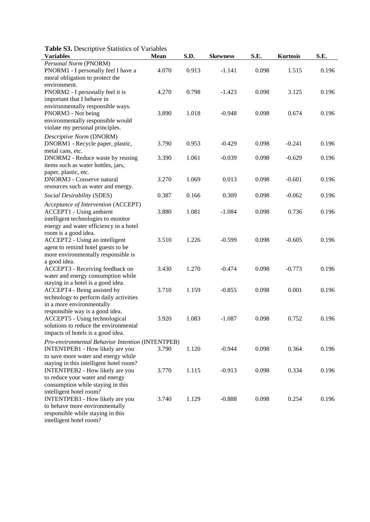| <b>Variables</b>                                                                                                                                                            | <b>Mean</b> | S.D.  | <b>Skewness</b> | S.E.  | <b>Kurtosis</b> | S.E.  |
|-----------------------------------------------------------------------------------------------------------------------------------------------------------------------------|-------------|-------|-----------------|-------|-----------------|-------|
| Personal Norm (PNORM)<br>PNORM1 - I personally feel I have a<br>moral obligation to protect the                                                                             | 4.070       | 0.913 | $-1.141$        | 0.098 | 1.515           | 0.196 |
| environment.<br>PNORM2 - I personally feel it is<br>important that I behave in                                                                                              | 4.270       | 0.798 | $-1.423$        | 0.098 | 3.125           | 0.196 |
| environmentally responsible ways.<br>PNORM3 - Not being<br>environmentally responsible would<br>violate my personal principles.                                             | 3.890       | 1.018 | $-0.948$        | 0.098 | 0.674           | 0.196 |
| Descriptive Norm (DNORM)<br>DNORM1 - Recycle paper, plastic,                                                                                                                | 3.790       | 0.953 | $-0.429$        | 0.098 | $-0.241$        | 0.196 |
| metal cans, etc.<br>DNORM2 - Reduce waste by reusing<br>items such as water bottles, jars,<br>paper, plastic, etc.                                                          | 3.390       | 1.061 | $-0.039$        | 0.098 | $-0.629$        | 0.196 |
| DNORM3 - Conserve natural<br>resources such as water and energy.                                                                                                            | 3.270       | 1.069 | 0.013           | 0.098 | $-0.601$        | 0.196 |
| Social Desirability (SDES)                                                                                                                                                  | 0.387       | 0.166 | 0.309           | 0.098 | $-0.062$        | 0.196 |
| Acceptance of Intervention (ACCEPT)<br><b>ACCEPT1</b> - Using ambient<br>intelligent technologies to monitor<br>energy and water efficiency in a hotel                      | 3.880       | 1.081 | $-1.084$        | 0.098 | 0.736           | 0.196 |
| room is a good idea.<br>ACCEPT2 - Using an intelligent<br>agent to remind hotel guests to be<br>more environmentally responsible is                                         | 3.510       | 1.226 | $-0.599$        | 0.098 | $-0.605$        | 0.196 |
| a good idea.<br>ACCEPT3 - Receiving feedback on<br>water and energy consumption while                                                                                       | 3.430       | 1.270 | $-0.474$        | 0.098 | $-0.773$        | 0.196 |
| staying in a hotel is a good idea.<br>ACCEPT4 - Being assisted by<br>technology to perform daily activities<br>in a more environmentally<br>responsible way is a good idea. | 3.710       | 1.159 | $-0.855$        | 0.098 | 0.001           | 0.196 |
| ACCEPT5 - Using technological<br>solutions to reduce the environmental<br>impacts of hotels is a good idea.                                                                 | 3.920       | 1.083 | $-1.087$        | 0.098 | 0.752           | 0.196 |
| Pro-environmental Behavior Intention (INTENTPEB)<br>INTENTPEB1 - How likely are you<br>to save more water and energy while<br>staying in this intelligent hotel room?       | 3.790       | 1.120 | $-0.944$        | 0.098 | 0.364           | 0.196 |
| INTENTPEB2 - How likely are you<br>to reduce your water and energy<br>consumption while staying in this<br>intelligent hotel room?                                          | 3.770       | 1.115 | $-0.913$        | 0.098 | 0.334           | 0.196 |
| INTENTPEB3 - How likely are you<br>to behave more environmentally<br>responsible while staying in this<br>intelligent hotel room?                                           | 3.740       | 1.129 | $-0.888$        | 0.098 | 0.254           | 0.196 |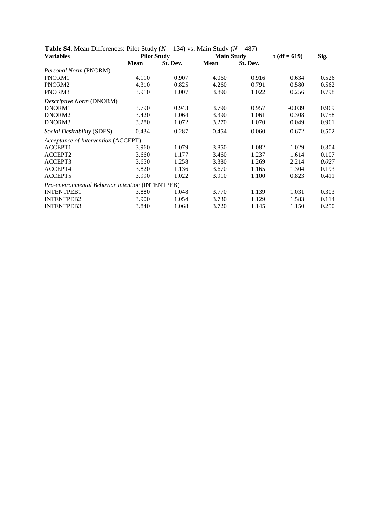| <b>Variables</b>                                 |       | <b>Pilot Study</b> | <b>Main Study</b> |          | $t$ (df = 619) | Sig.  |
|--------------------------------------------------|-------|--------------------|-------------------|----------|----------------|-------|
|                                                  | Mean  | St. Dev.           | Mean              | St. Dev. |                |       |
| Personal Norm (PNORM)                            |       |                    |                   |          |                |       |
| PNORM1                                           | 4.110 | 0.907              | 4.060             | 0.916    | 0.634          | 0.526 |
| PNORM <sub>2</sub>                               | 4.310 | 0.825              | 4.260             | 0.791    | 0.580          | 0.562 |
| PNORM3                                           | 3.910 | 1.007              | 3.890             | 1.022    | 0.256          | 0.798 |
| <i>Descriptive Norm</i> (DNORM)                  |       |                    |                   |          |                |       |
| DNORM1                                           | 3.790 | 0.943              | 3.790             | 0.957    | $-0.039$       | 0.969 |
| DNORM2                                           | 3.420 | 1.064              | 3.390             | 1.061    | 0.308          | 0.758 |
| DNORM3                                           | 3.280 | 1.072              | 3.270             | 1.070    | 0.049          | 0.961 |
| Social Desirability (SDES)                       | 0.434 | 0.287              | 0.454             | 0.060    | $-0.672$       | 0.502 |
| Acceptance of Intervention (ACCEPT)              |       |                    |                   |          |                |       |
| ACCEPT1                                          | 3.960 | 1.079              | 3.850             | 1.082    | 1.029          | 0.304 |
| ACCEPT2                                          | 3.660 | 1.177              | 3.460             | 1.237    | 1.614          | 0.107 |
| ACCEPT3                                          | 3.650 | 1.258              | 3.380             | 1.269    | 2.214          | 0.027 |
| ACCEPT4                                          | 3.820 | 1.136              | 3.670             | 1.165    | 1.304          | 0.193 |
| ACCEPT5                                          | 3.990 | 1.022              | 3.910             | 1.100    | 0.823          | 0.411 |
| Pro-environmental Behavior Intention (INTENTPEB) |       |                    |                   |          |                |       |
| <b>INTENTPEB1</b>                                | 3.880 | 1.048              | 3.770             | 1.139    | 1.031          | 0.303 |
| <b>INTENTPEB2</b>                                | 3.900 | 1.054              | 3.730             | 1.129    | 1.583          | 0.114 |
| <b>INTENTPEB3</b>                                | 3.840 | 1.068              | 3.720             | 1.145    | 1.150          | 0.250 |

| <b>Table S4.</b> Mean Differences: Pilot Study ( $N = 134$ ) vs. Main Study ( $N = 487$ ) |  |  |  |
|-------------------------------------------------------------------------------------------|--|--|--|
|-------------------------------------------------------------------------------------------|--|--|--|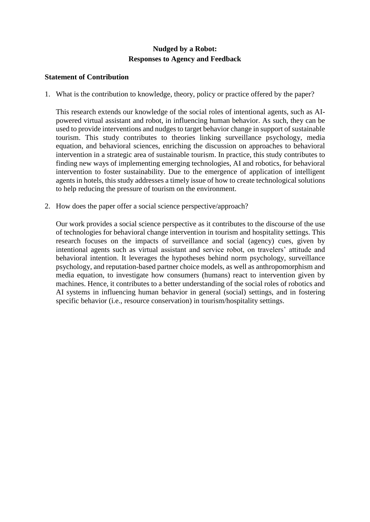### **Statement of Contribution**

1. What is the contribution to knowledge, theory, policy or practice offered by the paper?

This research extends our knowledge of the social roles of intentional agents, such as AIpowered virtual assistant and robot, in influencing human behavior. As such, they can be used to provide interventions and nudges to target behavior change in support of sustainable tourism. This study contributes to theories linking surveillance psychology, media equation, and behavioral sciences, enriching the discussion on approaches to behavioral intervention in a strategic area of sustainable tourism. In practice, this study contributes to finding new ways of implementing emerging technologies, AI and robotics, for behavioral intervention to foster sustainability. Due to the emergence of application of intelligent agents in hotels, this study addresses a timely issue of how to create technological solutions to help reducing the pressure of tourism on the environment.

2. How does the paper offer a social science perspective/approach?

Our work provides a social science perspective as it contributes to the discourse of the use of technologies for behavioral change intervention in tourism and hospitality settings. This research focuses on the impacts of surveillance and social (agency) cues, given by intentional agents such as virtual assistant and service robot, on travelers' attitude and behavioral intention. It leverages the hypotheses behind norm psychology, surveillance psychology, and reputation-based partner choice models, as well as anthropomorphism and media equation, to investigate how consumers (humans) react to intervention given by machines. Hence, it contributes to a better understanding of the social roles of robotics and AI systems in influencing human behavior in general (social) settings, and in fostering specific behavior (i.e., resource conservation) in tourism/hospitality settings.